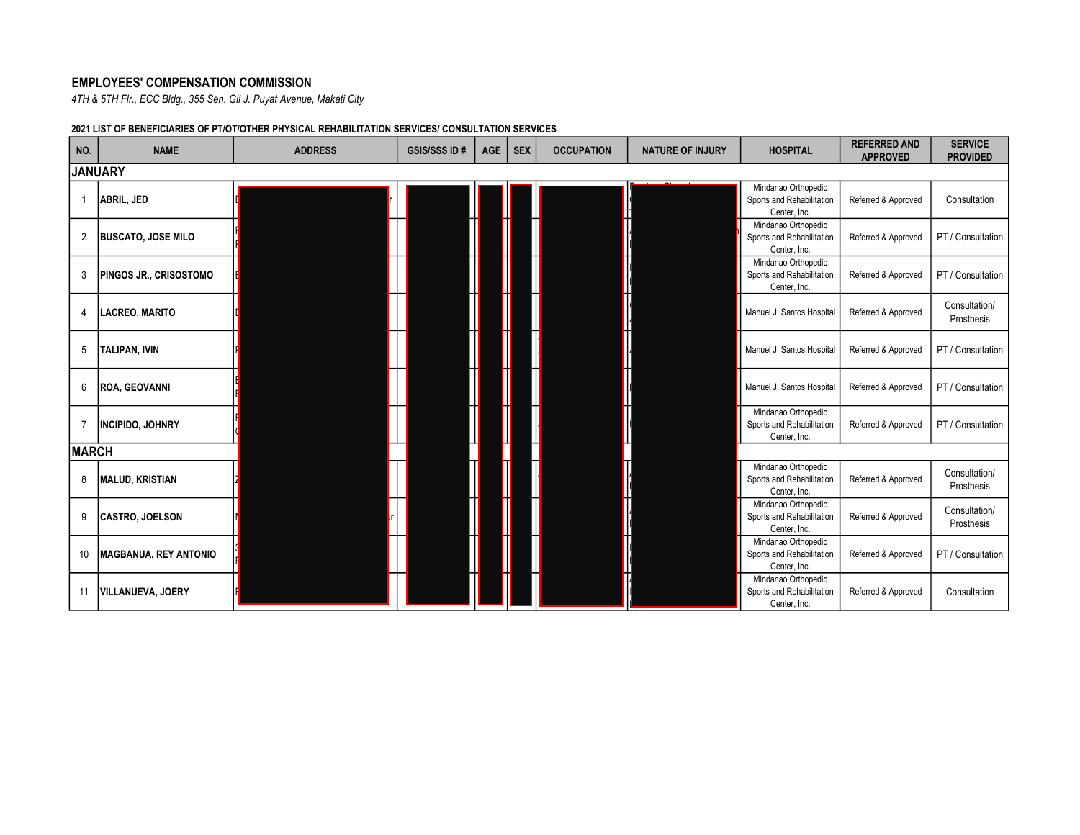## EMPLOYEES' COMPENSATION COMMISSION

4TH & 5TH Flr., ECC Bldg., 355 Sen. Gil J. Puyat Avenue, Makati City

## 2021 LIST OF BENEFICIARIES OF PT/OT/OTHER PHYSICAL REHABILITATION SERVICES/ CONSULTATION SERVICES

| NO.            | <b>NAME</b>                  | <b>ADDRESS</b> | <b>GSIS/SSS ID#</b> | <b>AGE</b> | <b>SEX</b> | <b>OCCUPATION</b> | <b>NATURE OF INJURY</b> | <b>HOSPITAL</b>                                                  | <b>REFERRED AND</b><br><b>APPROVED</b> | <b>SERVICE</b><br><b>PROVIDED</b> |
|----------------|------------------------------|----------------|---------------------|------------|------------|-------------------|-------------------------|------------------------------------------------------------------|----------------------------------------|-----------------------------------|
|                | <b>JANUARY</b>               |                |                     |            |            |                   |                         |                                                                  |                                        |                                   |
| $\overline{1}$ | ABRIL, JED                   |                |                     |            |            |                   |                         | Mindanao Orthopedic<br>Sports and Rehabilitation<br>Center, Inc. | Referred & Approved                    | Consultation                      |
| $\overline{2}$ | <b>BUSCATO, JOSE MILO</b>    |                |                     |            |            |                   |                         | Mindanao Orthopedic<br>Sports and Rehabilitation<br>Center, Inc. | Referred & Approved                    | PT / Consultation                 |
| 3              | PINGOS JR., CRISOSTOMO       |                |                     |            |            |                   |                         | Mindanao Orthopedic<br>Sports and Rehabilitation<br>Center, Inc. | Referred & Approved                    | PT / Consultation                 |
| 4              | <b>LACREO, MARITO</b>        |                |                     |            |            |                   |                         | Manuel J. Santos Hospital                                        | Referred & Approved                    | Consultation/<br>Prosthesis       |
| 5              | <b>TALIPAN, IVIN</b>         |                |                     |            |            |                   |                         | Manuel J. Santos Hospital                                        | Referred & Approved                    | PT / Consultation                 |
| 6              | <b>ROA, GEOVANNI</b>         |                |                     |            |            |                   |                         | Manuel J. Santos Hospital                                        | Referred & Approved                    | PT / Consultation                 |
| $\overline{7}$ | <b>INCIPIDO, JOHNRY</b>      |                |                     |            |            |                   |                         | Mindanao Orthopedic<br>Sports and Rehabilitation<br>Center, Inc. | Referred & Approved                    | PT / Consultation                 |
|                | <b>MARCH</b>                 |                |                     |            |            |                   |                         |                                                                  |                                        |                                   |
| 8              | <b>MALUD, KRISTIAN</b>       |                |                     |            |            |                   |                         | Mindanao Orthopedic<br>Sports and Rehabilitation<br>Center, Inc. | Referred & Approved                    | Consultation/<br>Prosthesis       |
| 9              | <b>CASTRO, JOELSON</b>       |                |                     |            |            |                   |                         | Mindanao Orthopedic<br>Sports and Rehabilitation<br>Center, Inc. | Referred & Approved                    | Consultation/<br>Prosthesis       |
| 10             | <b>MAGBANUA, REY ANTONIO</b> |                |                     |            |            |                   |                         | Mindanao Orthopedic<br>Sports and Rehabilitation<br>Center, Inc. | Referred & Approved                    | PT / Consultation                 |
| 11             | <b>VILLANUEVA, JOERY</b>     |                |                     |            |            |                   |                         | Mindanao Orthopedic<br>Sports and Rehabilitation<br>Center, Inc. | Referred & Approved                    | Consultation                      |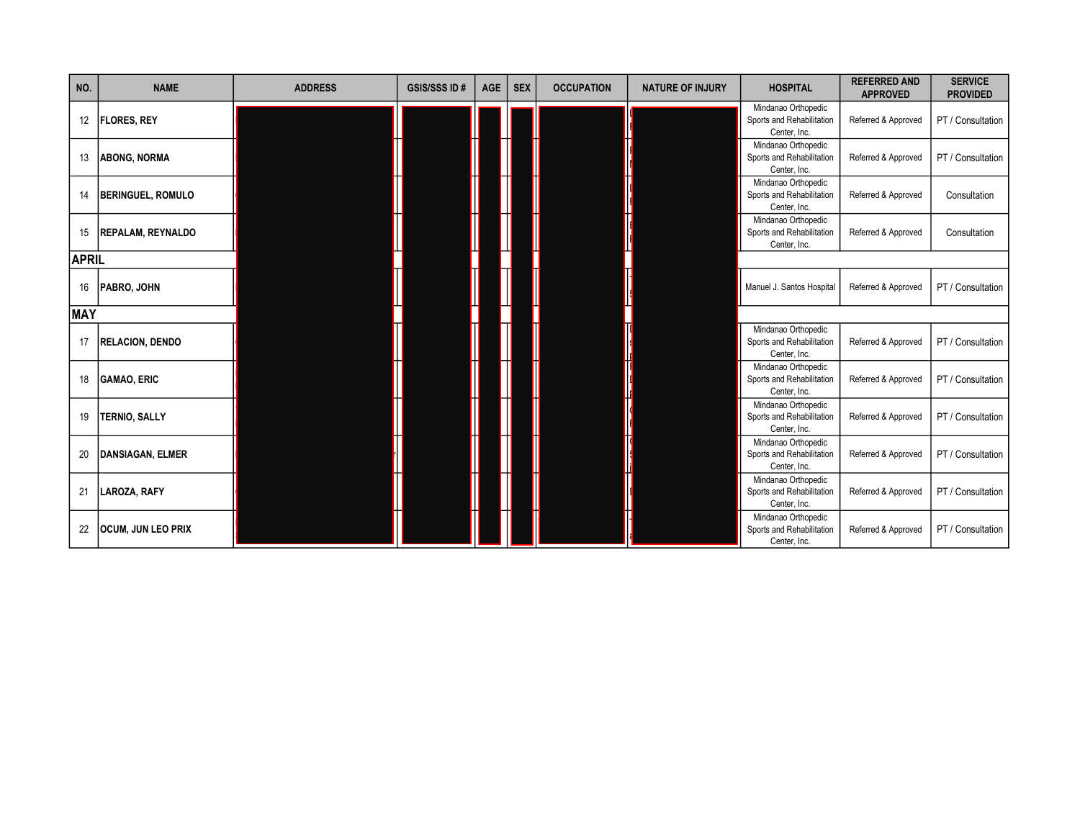| NO.        | <b>NAME</b>               | <b>ADDRESS</b> | <b>GSIS/SSS ID#</b> | <b>AGE</b> | <b>SEX</b> | <b>OCCUPATION</b> | <b>NATURE OF INJURY</b> | <b>HOSPITAL</b>                                                  | <b>REFERRED AND</b><br><b>APPROVED</b> | <b>SERVICE</b><br><b>PROVIDED</b> |
|------------|---------------------------|----------------|---------------------|------------|------------|-------------------|-------------------------|------------------------------------------------------------------|----------------------------------------|-----------------------------------|
| 12         | <b>FLORES, REY</b>        |                |                     |            |            |                   |                         | Mindanao Orthopedic<br>Sports and Rehabilitation<br>Center, Inc. | Referred & Approved                    | PT / Consultation                 |
| 13         | <b>ABONG, NORMA</b>       |                |                     |            |            |                   |                         | Mindanao Orthopedic<br>Sports and Rehabilitation<br>Center, Inc. | Referred & Approved                    | PT / Consultation                 |
| 14         | <b>BERINGUEL, ROMULO</b>  |                |                     |            |            |                   |                         | Mindanao Orthopedic<br>Sports and Rehabilitation<br>Center, Inc. | Referred & Approved                    | Consultation                      |
| 15         | <b>REPALAM, REYNALDO</b>  |                |                     |            |            |                   |                         | Mindanao Orthopedic<br>Sports and Rehabilitation<br>Center, Inc. | Referred & Approved                    | Consultation                      |
|            | <b>APRIL</b>              |                |                     |            |            |                   |                         |                                                                  |                                        |                                   |
| 16         | PABRO, JOHN               |                |                     |            |            |                   |                         | Manuel J. Santos Hospital                                        | Referred & Approved                    | PT / Consultation                 |
| <b>MAY</b> |                           |                |                     |            |            |                   |                         |                                                                  |                                        |                                   |
| 17         | <b>RELACION, DENDO</b>    |                |                     |            |            |                   |                         | Mindanao Orthopedic<br>Sports and Rehabilitation<br>Center, Inc. | Referred & Approved                    | PT / Consultation                 |
| 18         | <b>GAMAO, ERIC</b>        |                |                     |            |            |                   |                         | Mindanao Orthopedic<br>Sports and Rehabilitation<br>Center, Inc. | Referred & Approved                    | PT / Consultation                 |
| 19         | <b>TERNIO, SALLY</b>      |                |                     |            |            |                   |                         | Mindanao Orthopedic<br>Sports and Rehabilitation<br>Center, Inc. | Referred & Approved                    | PT / Consultation                 |
| 20         | <b>DANSIAGAN, ELMER</b>   |                |                     |            |            |                   |                         | Mindanao Orthopedic<br>Sports and Rehabilitation<br>Center, Inc. | Referred & Approved                    | PT / Consultation                 |
| 21         | LAROZA, RAFY              |                |                     |            |            |                   |                         | Mindanao Orthopedic<br>Sports and Rehabilitation<br>Center, Inc. | Referred & Approved                    | PT / Consultation                 |
| 22         | <b>OCUM, JUN LEO PRIX</b> |                |                     |            |            |                   |                         | Mindanao Orthopedic<br>Sports and Rehabilitation<br>Center, Inc. | Referred & Approved                    | PT / Consultation                 |